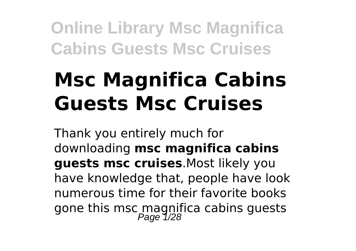# **Msc Magnifica Cabins Guests Msc Cruises**

Thank you entirely much for downloading **msc magnifica cabins guests msc cruises**.Most likely you have knowledge that, people have look numerous time for their favorite books gone this msc magnifica cabins guests<br>Page 1/28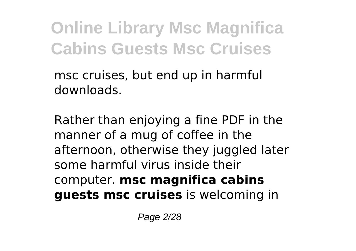msc cruises, but end up in harmful downloads.

Rather than enjoying a fine PDF in the manner of a mug of coffee in the afternoon, otherwise they juggled later some harmful virus inside their computer. **msc magnifica cabins guests msc cruises** is welcoming in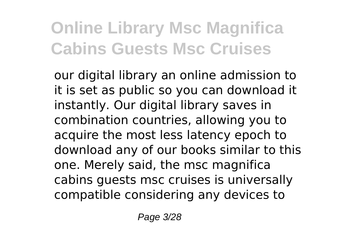our digital library an online admission to it is set as public so you can download it instantly. Our digital library saves in combination countries, allowing you to acquire the most less latency epoch to download any of our books similar to this one. Merely said, the msc magnifica cabins guests msc cruises is universally compatible considering any devices to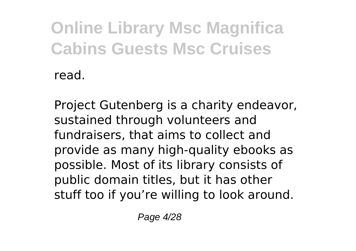Project Gutenberg is a charity endeavor, sustained through volunteers and fundraisers, that aims to collect and provide as many high-quality ebooks as possible. Most of its library consists of public domain titles, but it has other stuff too if you're willing to look around.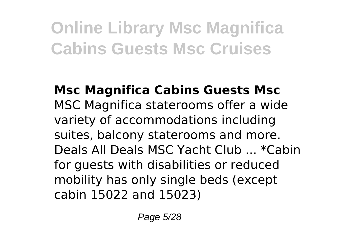#### **Msc Magnifica Cabins Guests Msc** MSC Magnifica staterooms offer a wide variety of accommodations including suites, balcony staterooms and more. Deals All Deals MSC Yacht Club ... \*Cabin for guests with disabilities or reduced mobility has only single beds (except cabin 15022 and 15023)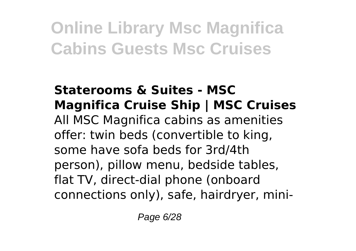#### **Staterooms & Suites - MSC Magnifica Cruise Ship | MSC Cruises** All MSC Magnifica cabins as amenities offer: twin beds (convertible to king, some have sofa beds for 3rd/4th person), pillow menu, bedside tables, flat TV, direct-dial phone (onboard connections only), safe, hairdryer, mini-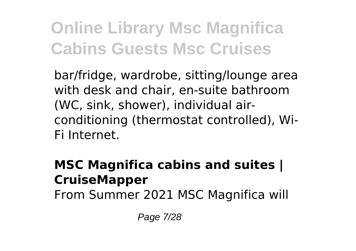bar/fridge, wardrobe, sitting/lounge area with desk and chair, en-suite bathroom (WC, sink, shower), individual airconditioning (thermostat controlled), Wi-Fi Internet.

#### **MSC Magnifica cabins and suites | CruiseMapper**

From Summer 2021 MSC Magnifica will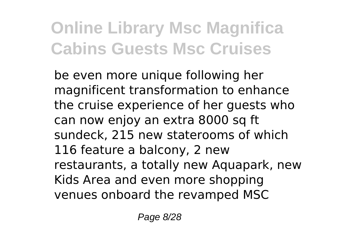be even more unique following her magnificent transformation to enhance the cruise experience of her guests who can now enjoy an extra 8000 sq ft sundeck, 215 new staterooms of which 116 feature a balcony, 2 new restaurants, a totally new Aquapark, new Kids Area and even more shopping venues onboard the revamped MSC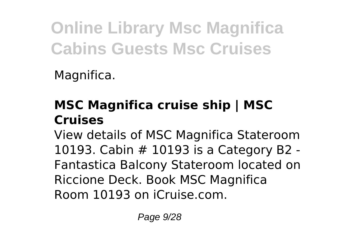Magnifica.

### **MSC Magnifica cruise ship | MSC Cruises**

View details of MSC Magnifica Stateroom 10193. Cabin # 10193 is a Category B2 - Fantastica Balcony Stateroom located on Riccione Deck. Book MSC Magnifica Room 10193 on iCruise.com.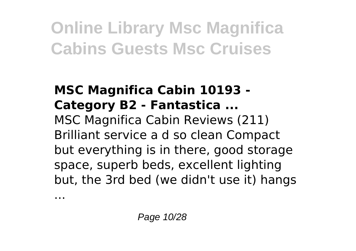#### **MSC Magnifica Cabin 10193 - Category B2 - Fantastica ...** MSC Magnifica Cabin Reviews (211) Brilliant service a d so clean Compact but everything is in there, good storage space, superb beds, excellent lighting but, the 3rd bed (we didn't use it) hangs

...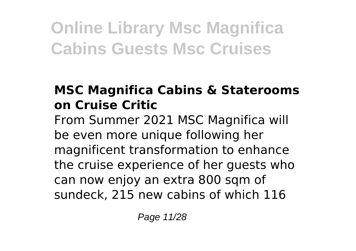### **MSC Magnifica Cabins & Staterooms on Cruise Critic**

From Summer 2021 MSC Magnifica will be even more unique following her magnificent transformation to enhance the cruise experience of her guests who can now enjoy an extra 800 sqm of sundeck, 215 new cabins of which 116

Page 11/28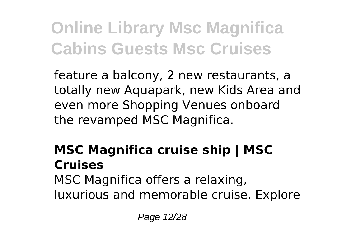feature a balcony, 2 new restaurants, a totally new Aquapark, new Kids Area and even more Shopping Venues onboard the revamped MSC Magnifica.

### **MSC Magnifica cruise ship | MSC Cruises**

MSC Magnifica offers a relaxing, luxurious and memorable cruise. Explore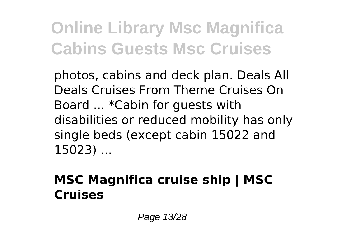photos, cabins and deck plan. Deals All Deals Cruises From Theme Cruises On Board ... \*Cabin for guests with disabilities or reduced mobility has only single beds (except cabin 15022 and 15023) ...

#### **MSC Magnifica cruise ship | MSC Cruises**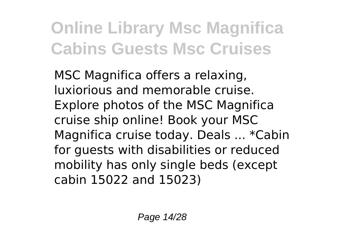MSC Magnifica offers a relaxing, luxiorious and memorable cruise. Explore photos of the MSC Magnifica cruise ship online! Book your MSC Magnifica cruise today. Deals ... \*Cabin for guests with disabilities or reduced mobility has only single beds (except cabin 15022 and 15023)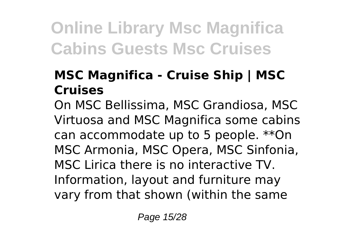#### **MSC Magnifica - Cruise Ship | MSC Cruises**

On MSC Bellissima, MSC Grandiosa, MSC Virtuosa and MSC Magnifica some cabins can accommodate up to 5 people. \*\*On MSC Armonia, MSC Opera, MSC Sinfonia, MSC Lirica there is no interactive TV. Information, layout and furniture may vary from that shown (within the same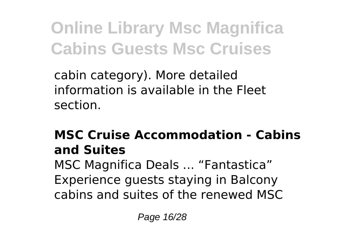cabin category). More detailed information is available in the Fleet section.

#### **MSC Cruise Accommodation - Cabins and Suites**

MSC Magnifica Deals ... "Fantastica" Experience guests staying in Balcony cabins and suites of the renewed MSC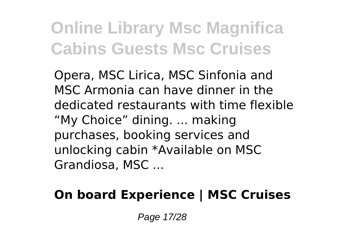Opera, MSC Lirica, MSC Sinfonia and MSC Armonia can have dinner in the dedicated restaurants with time flexible "My Choice" dining. ... making purchases, booking services and unlocking cabin \*Available on MSC Grandiosa, MSC ...

#### **On board Experience | MSC Cruises**

Page 17/28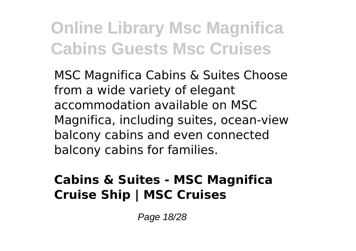MSC Magnifica Cabins & Suites Choose from a wide variety of elegant accommodation available on MSC Magnifica, including suites, ocean-view balcony cabins and even connected balcony cabins for families.

#### **Cabins & Suites - MSC Magnifica Cruise Ship | MSC Cruises**

Page 18/28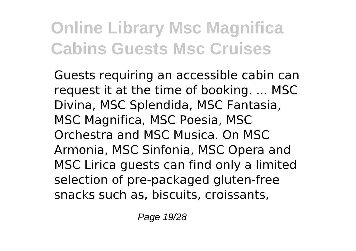Guests requiring an accessible cabin can request it at the time of booking. ... MSC Divina, MSC Splendida, MSC Fantasia, MSC Magnifica, MSC Poesia, MSC Orchestra and MSC Musica. On MSC Armonia, MSC Sinfonia, MSC Opera and MSC Lirica guests can find only a limited selection of pre-packaged gluten-free snacks such as, biscuits, croissants,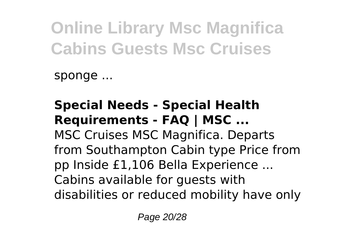sponge ...

#### **Special Needs - Special Health Requirements - FAQ | MSC ...** MSC Cruises MSC Magnifica. Departs from Southampton Cabin type Price from pp Inside £1,106 Bella Experience ... Cabins available for guests with disabilities or reduced mobility have only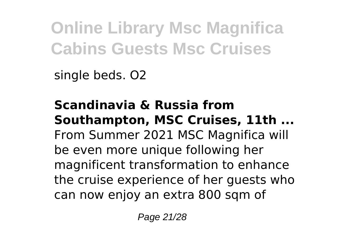single beds. O2

**Scandinavia & Russia from Southampton, MSC Cruises, 11th ...** From Summer 2021 MSC Magnifica will be even more unique following her magnificent transformation to enhance the cruise experience of her guests who can now enjoy an extra 800 sqm of

Page 21/28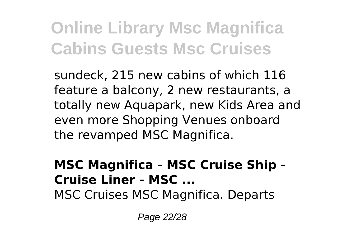sundeck, 215 new cabins of which 116 feature a balcony, 2 new restaurants, a totally new Aquapark, new Kids Area and even more Shopping Venues onboard the revamped MSC Magnifica.

#### **MSC Magnifica - MSC Cruise Ship - Cruise Liner - MSC ...** MSC Cruises MSC Magnifica. Departs

Page 22/28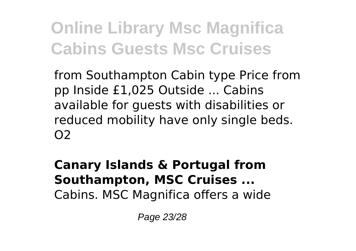from Southampton Cabin type Price from pp Inside £1,025 Outside ... Cabins available for guests with disabilities or reduced mobility have only single beds.  $O<sub>2</sub>$ 

**Canary Islands & Portugal from Southampton, MSC Cruises ...** Cabins. MSC Magnifica offers a wide

Page 23/28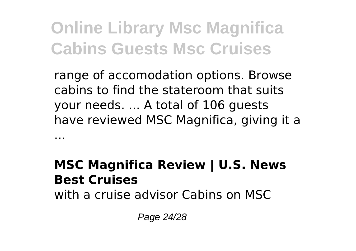range of accomodation options. Browse cabins to find the stateroom that suits your needs. ... A total of 106 guests have reviewed MSC Magnifica, giving it a ...

#### **MSC Magnifica Review | U.S. News Best Cruises**

with a cruise advisor Cabins on MSC

Page 24/28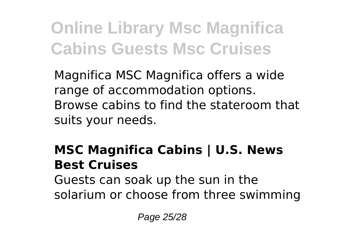Magnifica MSC Magnifica offers a wide range of accommodation options. Browse cabins to find the stateroom that suits your needs.

#### **MSC Magnifica Cabins | U.S. News Best Cruises**

Guests can soak up the sun in the solarium or choose from three swimming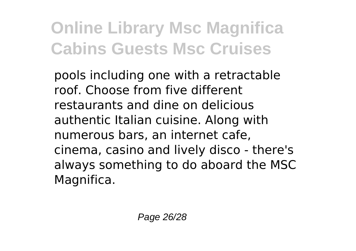pools including one with a retractable roof. Choose from five different restaurants and dine on delicious authentic Italian cuisine. Along with numerous bars, an internet cafe, cinema, casino and lively disco - there's always something to do aboard the MSC Magnifica.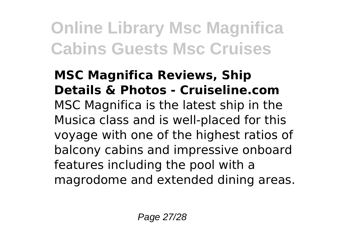#### **MSC Magnifica Reviews, Ship Details & Photos - Cruiseline.com** MSC Magnifica is the latest ship in the Musica class and is well-placed for this voyage with one of the highest ratios of balcony cabins and impressive onboard features including the pool with a magrodome and extended dining areas.